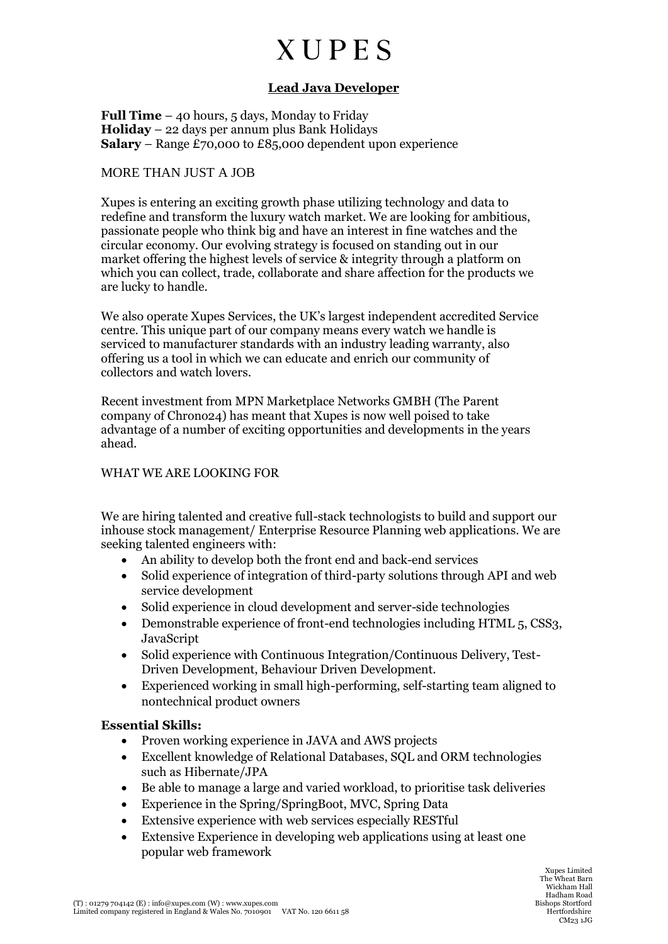## **XUPES**

### **Lead Java Developer**

**Full Time** – 40 hours, 5 days, Monday to Friday **Holiday** – 22 days per annum plus Bank Holidays **Salary** – Range £70,000 to £85,000 dependent upon experience

#### MORE THAN JUST A JOB

Xupes is entering an exciting growth phase utilizing technology and data to redefine and transform the luxury watch market. We are looking for ambitious, passionate people who think big and have an interest in fine watches and the circular economy. Our evolving strategy is focused on standing out in our market offering the highest levels of service & integrity through a platform on which you can collect, trade, collaborate and share affection for the products we are lucky to handle.

We also operate Xupes Services, the UK's largest independent accredited Service centre. This unique part of our company means every watch we handle is serviced to manufacturer standards with an industry leading warranty, also offering us a tool in which we can educate and enrich our community of collectors and watch lovers.

Recent investment from MPN Marketplace Networks GMBH (The Parent company of Chrono24) has meant that Xupes is now well poised to take advantage of a number of exciting opportunities and developments in the years ahead.

#### WHAT WE ARE LOOKING FOR

We are hiring talented and creative full-stack technologists to build and support our inhouse stock management/ Enterprise Resource Planning web applications. We are seeking talented engineers with:

- An ability to develop both the front end and back-end services
- Solid experience of integration of third-party solutions through API and web service development
- Solid experience in cloud development and server-side technologies
- Demonstrable experience of front-end technologies including HTML 5, CSS3, JavaScript
- Solid experience with Continuous Integration/Continuous Delivery, Test-Driven Development, Behaviour Driven Development.
- Experienced working in small high-performing, self-starting team aligned to nontechnical product owners

#### **Essential Skills:**

- Proven working experience in JAVA and AWS projects
- Excellent knowledge of Relational Databases, SQL and ORM technologies such as Hibernate/JPA
- Be able to manage a large and varied workload, to prioritise task deliveries
- Experience in the Spring/SpringBoot, MVC, Spring Data
- Extensive experience with web services especially RESTful
- Extensive Experience in developing web applications using at least one popular web framework